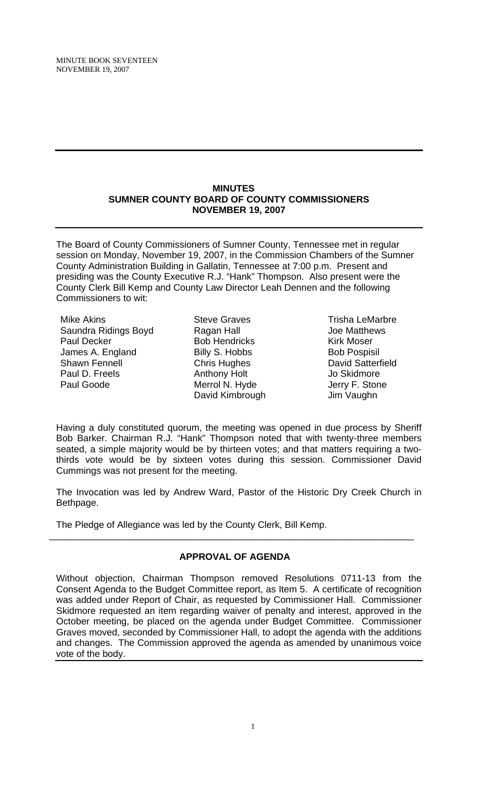#### **MINUTES SUMNER COUNTY BOARD OF COUNTY COMMISSIONERS NOVEMBER 19, 2007**

The Board of County Commissioners of Sumner County, Tennessee met in regular session on Monday, November 19, 2007, in the Commission Chambers of the Sumner County Administration Building in Gallatin, Tennessee at 7:00 p.m. Present and presiding was the County Executive R.J. "Hank" Thompson. Also present were the County Clerk Bill Kemp and County Law Director Leah Dennen and the following Commissioners to wit:

Mike Akins Saundra Ridings Boyd Paul Decker James A. England Shawn Fennell Paul D. Freels Paul Goode

Steve Graves Ragan Hall Bob Hendricks Billy S. Hobbs Chris Hughes Anthony Holt Merrol N. Hyde David Kimbrough

Trisha LeMarbre Joe Matthews Kirk Moser Bob Pospisil David Satterfield Jo Skidmore Jerry F. Stone Jim Vaughn

Having a duly constituted quorum, the meeting was opened in due process by Sheriff Bob Barker. Chairman R.J. "Hank" Thompson noted that with twenty-three members seated, a simple majority would be by thirteen votes; and that matters requiring a twothirds vote would be by sixteen votes during this session. Commissioner David Cummings was not present for the meeting.

The Invocation was led by Andrew Ward, Pastor of the Historic Dry Creek Church in Bethpage.

The Pledge of Allegiance was led by the County Clerk, Bill Kemp.

# **APPROVAL OF AGENDA**

\_\_\_\_\_\_\_\_\_\_\_\_\_\_\_\_\_\_\_\_\_\_\_\_\_\_\_\_\_\_\_\_\_\_\_\_\_\_\_\_\_\_\_\_\_\_\_\_\_\_\_\_\_\_\_\_\_\_\_\_\_\_\_\_\_\_\_\_\_\_

Without objection, Chairman Thompson removed Resolutions 0711-13 from the Consent Agenda to the Budget Committee report, as Item 5. A certificate of recognition was added under Report of Chair, as requested by Commissioner Hall. Commissioner Skidmore requested an item regarding waiver of penalty and interest, approved in the October meeting, be placed on the agenda under Budget Committee. Commissioner Graves moved, seconded by Commissioner Hall, to adopt the agenda with the additions and changes. The Commission approved the agenda as amended by unanimous voice vote of the body.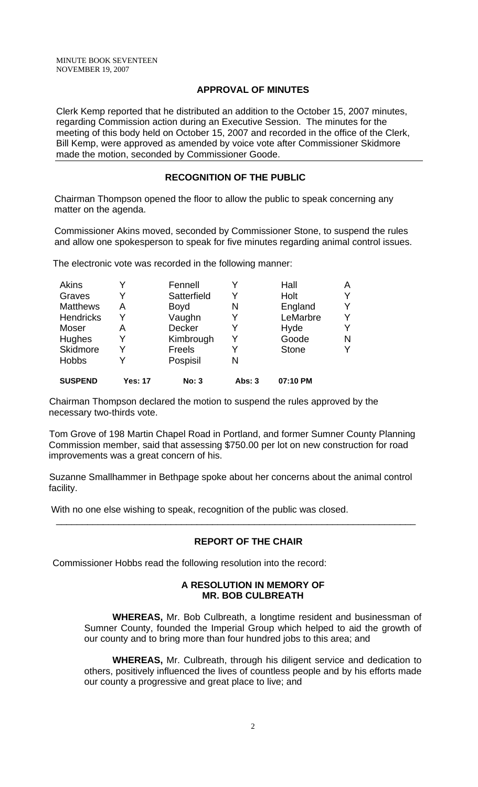# **APPROVAL OF MINUTES**

Clerk Kemp reported that he distributed an addition to the October 15, 2007 minutes, regarding Commission action during an Executive Session. The minutes for the meeting of this body held on October 15, 2007 and recorded in the office of the Clerk, Bill Kemp, were approved as amended by voice vote after Commissioner Skidmore made the motion, seconded by Commissioner Goode.

# **RECOGNITION OF THE PUBLIC**

 Chairman Thompson opened the floor to allow the public to speak concerning any matter on the agenda.

 Commissioner Akins moved, seconded by Commissioner Stone, to suspend the rules and allow one spokesperson to speak for five minutes regarding animal control issues.

The electronic vote was recorded in the following manner:

| Akins            |                | Fennell       |        | Hall         | Α |
|------------------|----------------|---------------|--------|--------------|---|
| Graves           | Y              | Satterfield   | Y      | Holt         |   |
| <b>Matthews</b>  | А              | Boyd          | N      | England      |   |
| <b>Hendricks</b> | Y              | Vaughn        | Y      | LeMarbre     | v |
| Moser            | A              | <b>Decker</b> |        | Hyde         |   |
| Hughes           | Y              | Kimbrough     | Y      | Goode        | N |
| Skidmore         | Y              | Freels        | Y      | <b>Stone</b> |   |
| <b>Hobbs</b>     | Y              | Pospisil      | N      |              |   |
| <b>SUSPEND</b>   | <b>Yes: 17</b> | No: 3         | Abs: 3 | 07:10 PM     |   |

Chairman Thompson declared the motion to suspend the rules approved by the necessary two-thirds vote.

Tom Grove of 198 Martin Chapel Road in Portland, and former Sumner County Planning Commission member, said that assessing \$750.00 per lot on new construction for road improvements was a great concern of his.

Suzanne Smallhammer in Bethpage spoke about her concerns about the animal control facility.

\_\_\_\_\_\_\_\_\_\_\_\_\_\_\_\_\_\_\_\_\_\_\_\_\_\_\_\_\_\_\_\_\_\_\_\_\_\_\_\_\_\_\_\_\_\_\_\_\_\_\_\_\_\_\_\_\_\_\_\_\_\_\_\_\_\_\_\_\_

With no one else wishing to speak, recognition of the public was closed.

# **REPORT OF THE CHAIR**

Commissioner Hobbs read the following resolution into the record:

# **A RESOLUTION IN MEMORY OF MR. BOB CULBREATH**

 **WHEREAS,** Mr. Bob Culbreath, a longtime resident and businessman of Sumner County, founded the Imperial Group which helped to aid the growth of our county and to bring more than four hundred jobs to this area; and

**WHEREAS,** Mr. Culbreath, through his diligent service and dedication to others, positively influenced the lives of countless people and by his efforts made our county a progressive and great place to live; and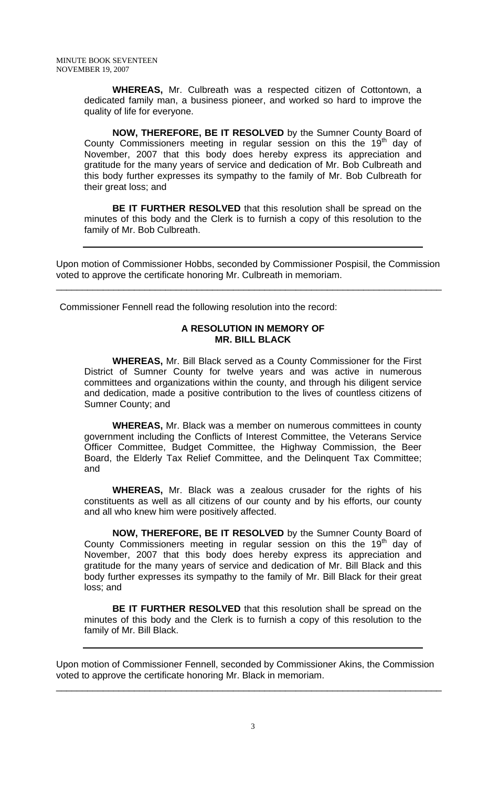**WHEREAS,** Mr. Culbreath was a respected citizen of Cottontown, a dedicated family man, a business pioneer, and worked so hard to improve the quality of life for everyone.

**NOW, THEREFORE, BE IT RESOLVED** by the Sumner County Board of County Commissioners meeting in regular session on this the  $19<sup>th</sup>$  day of November, 2007 that this body does hereby express its appreciation and gratitude for the many years of service and dedication of Mr. Bob Culbreath and this body further expresses its sympathy to the family of Mr. Bob Culbreath for their great loss; and

**BE IT FURTHER RESOLVED** that this resolution shall be spread on the minutes of this body and the Clerk is to furnish a copy of this resolution to the family of Mr. Bob Culbreath.

Upon motion of Commissioner Hobbs, seconded by Commissioner Pospisil, the Commission voted to approve the certificate honoring Mr. Culbreath in memoriam.

\_\_\_\_\_\_\_\_\_\_\_\_\_\_\_\_\_\_\_\_\_\_\_\_\_\_\_\_\_\_\_\_\_\_\_\_\_\_\_\_\_\_\_\_\_\_\_\_\_\_\_\_\_\_\_\_\_\_\_\_\_\_\_\_\_\_\_\_\_\_\_\_\_\_

Commissioner Fennell read the following resolution into the record:

# **A RESOLUTION IN MEMORY OF MR. BILL BLACK**

 **WHEREAS,** Mr. Bill Black served as a County Commissioner for the First District of Sumner County for twelve years and was active in numerous committees and organizations within the county, and through his diligent service and dedication, made a positive contribution to the lives of countless citizens of Sumner County; and

**WHEREAS,** Mr. Black was a member on numerous committees in county government including the Conflicts of Interest Committee, the Veterans Service Officer Committee, Budget Committee, the Highway Commission, the Beer Board, the Elderly Tax Relief Committee, and the Delinquent Tax Committee; and

**WHEREAS,** Mr. Black was a zealous crusader for the rights of his constituents as well as all citizens of our county and by his efforts, our county and all who knew him were positively affected.

**NOW, THEREFORE, BE IT RESOLVED** by the Sumner County Board of County Commissioners meeting in regular session on this the  $19<sup>th</sup>$  day of November, 2007 that this body does hereby express its appreciation and gratitude for the many years of service and dedication of Mr. Bill Black and this body further expresses its sympathy to the family of Mr. Bill Black for their great loss; and

**BE IT FURTHER RESOLVED** that this resolution shall be spread on the minutes of this body and the Clerk is to furnish a copy of this resolution to the family of Mr. Bill Black.

Upon motion of Commissioner Fennell, seconded by Commissioner Akins, the Commission voted to approve the certificate honoring Mr. Black in memoriam.

\_\_\_\_\_\_\_\_\_\_\_\_\_\_\_\_\_\_\_\_\_\_\_\_\_\_\_\_\_\_\_\_\_\_\_\_\_\_\_\_\_\_\_\_\_\_\_\_\_\_\_\_\_\_\_\_\_\_\_\_\_\_\_\_\_\_\_\_\_\_\_\_\_\_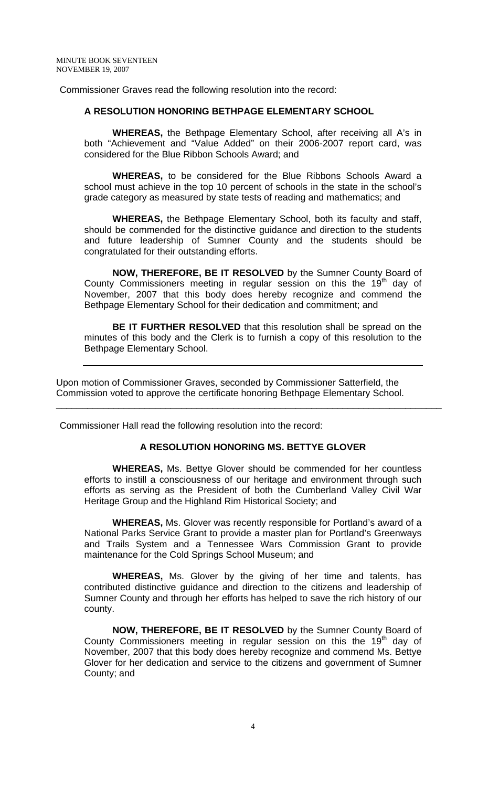Commissioner Graves read the following resolution into the record:

#### **A RESOLUTION HONORING BETHPAGE ELEMENTARY SCHOOL**

 **WHEREAS,** the Bethpage Elementary School, after receiving all A's in both "Achievement and "Value Added" on their 2006-2007 report card, was considered for the Blue Ribbon Schools Award; and

**WHEREAS,** to be considered for the Blue Ribbons Schools Award a school must achieve in the top 10 percent of schools in the state in the school's grade category as measured by state tests of reading and mathematics; and

**WHEREAS,** the Bethpage Elementary School, both its faculty and staff, should be commended for the distinctive guidance and direction to the students and future leadership of Sumner County and the students should be congratulated for their outstanding efforts.

**NOW, THEREFORE, BE IT RESOLVED** by the Sumner County Board of County Commissioners meeting in regular session on this the  $19<sup>th</sup>$  day of November, 2007 that this body does hereby recognize and commend the Bethpage Elementary School for their dedication and commitment; and

**BE IT FURTHER RESOLVED** that this resolution shall be spread on the minutes of this body and the Clerk is to furnish a copy of this resolution to the Bethpage Elementary School.

Upon motion of Commissioner Graves, seconded by Commissioner Satterfield, the Commission voted to approve the certificate honoring Bethpage Elementary School.

Commissioner Hall read the following resolution into the record:

#### **A RESOLUTION HONORING MS. BETTYE GLOVER**

\_\_\_\_\_\_\_\_\_\_\_\_\_\_\_\_\_\_\_\_\_\_\_\_\_\_\_\_\_\_\_\_\_\_\_\_\_\_\_\_\_\_\_\_\_\_\_\_\_\_\_\_\_\_\_\_\_\_\_\_\_\_\_\_\_\_\_\_\_\_\_\_\_\_

 **WHEREAS,** Ms. Bettye Glover should be commended for her countless efforts to instill a consciousness of our heritage and environment through such efforts as serving as the President of both the Cumberland Valley Civil War Heritage Group and the Highland Rim Historical Society; and

**WHEREAS,** Ms. Glover was recently responsible for Portland's award of a National Parks Service Grant to provide a master plan for Portland's Greenways and Trails System and a Tennessee Wars Commission Grant to provide maintenance for the Cold Springs School Museum; and

**WHEREAS,** Ms. Glover by the giving of her time and talents, has contributed distinctive guidance and direction to the citizens and leadership of Sumner County and through her efforts has helped to save the rich history of our county.

**NOW, THEREFORE, BE IT RESOLVED** by the Sumner County Board of County Commissioners meeting in regular session on this the  $19<sup>th</sup>$  day of November, 2007 that this body does hereby recognize and commend Ms. Bettye Glover for her dedication and service to the citizens and government of Sumner County; and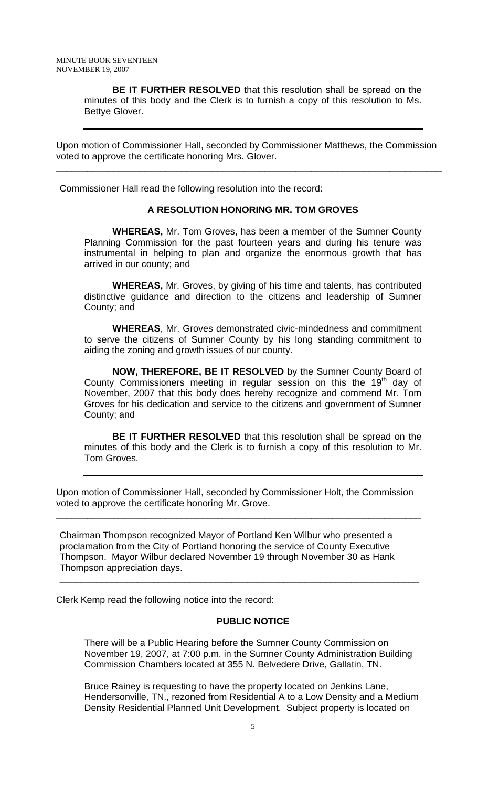**BE IT FURTHER RESOLVED** that this resolution shall be spread on the minutes of this body and the Clerk is to furnish a copy of this resolution to Ms. Bettye Glover.

Upon motion of Commissioner Hall, seconded by Commissioner Matthews, the Commission voted to approve the certificate honoring Mrs. Glover.

\_\_\_\_\_\_\_\_\_\_\_\_\_\_\_\_\_\_\_\_\_\_\_\_\_\_\_\_\_\_\_\_\_\_\_\_\_\_\_\_\_\_\_\_\_\_\_\_\_\_\_\_\_\_\_\_\_\_\_\_\_\_\_\_\_\_\_\_\_\_\_\_\_\_

Commissioner Hall read the following resolution into the record:

#### **A RESOLUTION HONORING MR. TOM GROVES**

 **WHEREAS,** Mr. Tom Groves, has been a member of the Sumner County Planning Commission for the past fourteen years and during his tenure was instrumental in helping to plan and organize the enormous growth that has arrived in our county; and

**WHEREAS,** Mr. Groves, by giving of his time and talents, has contributed distinctive guidance and direction to the citizens and leadership of Sumner County; and

**WHEREAS**, Mr. Groves demonstrated civic-mindedness and commitment to serve the citizens of Sumner County by his long standing commitment to aiding the zoning and growth issues of our county.

**NOW, THEREFORE, BE IT RESOLVED** by the Sumner County Board of County Commissioners meeting in regular session on this the  $19<sup>th</sup>$  day of November, 2007 that this body does hereby recognize and commend Mr. Tom Groves for his dedication and service to the citizens and government of Sumner County; and

**BE IT FURTHER RESOLVED** that this resolution shall be spread on the minutes of this body and the Clerk is to furnish a copy of this resolution to Mr. Tom Groves.

Upon motion of Commissioner Hall, seconded by Commissioner Holt, the Commission voted to approve the certificate honoring Mr. Grove.

\_\_\_\_\_\_\_\_\_\_\_\_\_\_\_\_\_\_\_\_\_\_\_\_\_\_\_\_\_\_\_\_\_\_\_\_\_\_\_\_\_\_\_\_\_\_\_\_\_\_\_\_\_\_\_\_\_\_\_\_\_\_\_\_\_\_\_\_\_\_

\_\_\_\_\_\_\_\_\_\_\_\_\_\_\_\_\_\_\_\_\_\_\_\_\_\_\_\_\_\_\_\_\_\_\_\_\_\_\_\_\_\_\_\_\_\_\_\_\_\_\_\_\_\_\_\_\_\_\_\_\_\_\_\_\_\_\_\_\_

Chairman Thompson recognized Mayor of Portland Ken Wilbur who presented a proclamation from the City of Portland honoring the service of County Executive Thompson. Mayor Wilbur declared November 19 through November 30 as Hank Thompson appreciation days.

Clerk Kemp read the following notice into the record:

#### **PUBLIC NOTICE**

There will be a Public Hearing before the Sumner County Commission on November 19, 2007, at 7:00 p.m. in the Sumner County Administration Building Commission Chambers located at 355 N. Belvedere Drive, Gallatin, TN.

Bruce Rainey is requesting to have the property located on Jenkins Lane, Hendersonville, TN., rezoned from Residential A to a Low Density and a Medium Density Residential Planned Unit Development. Subject property is located on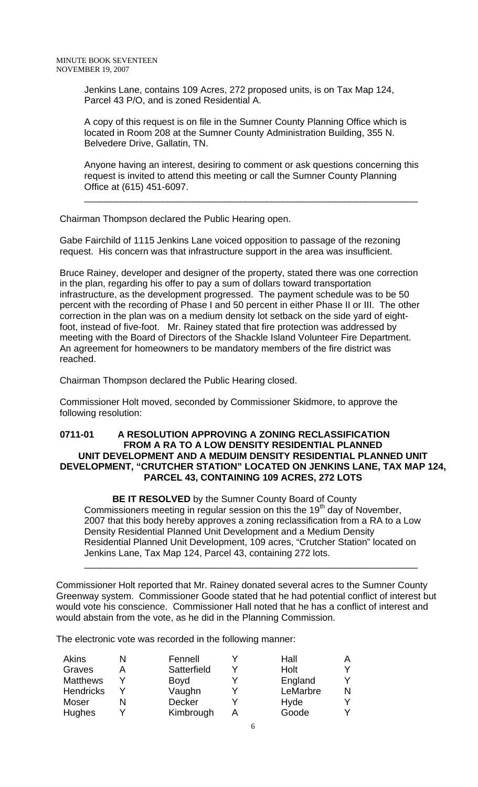Jenkins Lane, contains 109 Acres, 272 proposed units, is on Tax Map 124, Parcel 43 P/O, and is zoned Residential A.

A copy of this request is on file in the Sumner County Planning Office which is located in Room 208 at the Sumner County Administration Building, 355 N. Belvedere Drive, Gallatin, TN.

Anyone having an interest, desiring to comment or ask questions concerning this request is invited to attend this meeting or call the Sumner County Planning Office at (615) 451-6097.

\_\_\_\_\_\_\_\_\_\_\_\_\_\_\_\_\_\_\_\_\_\_\_\_\_\_\_\_\_\_\_\_\_\_\_\_\_\_\_\_\_\_\_\_\_\_\_\_\_\_\_\_\_\_\_\_\_\_\_\_\_\_\_\_

Chairman Thompson declared the Public Hearing open.

Gabe Fairchild of 1115 Jenkins Lane voiced opposition to passage of the rezoning request. His concern was that infrastructure support in the area was insufficient.

Bruce Rainey, developer and designer of the property, stated there was one correction in the plan, regarding his offer to pay a sum of dollars toward transportation infrastructure, as the development progressed. The payment schedule was to be 50 percent with the recording of Phase I and 50 percent in either Phase II or III. The other correction in the plan was on a medium density lot setback on the side yard of eightfoot, instead of five-foot. Mr. Rainey stated that fire protection was addressed by meeting with the Board of Directors of the Shackle Island Volunteer Fire Department. An agreement for homeowners to be mandatory members of the fire district was reached.

Chairman Thompson declared the Public Hearing closed.

Commissioner Holt moved, seconded by Commissioner Skidmore, to approve the following resolution:

#### **0711-01 A RESOLUTION APPROVING A ZONING RECLASSIFICATION FROM A RA TO A LOW DENSITY RESIDENTIAL PLANNED UNIT DEVELOPMENT AND A MEDUIM DENSITY RESIDENTIAL PLANNED UNIT DEVELOPMENT, "CRUTCHER STATION" LOCATED ON JENKINS LANE, TAX MAP 124, PARCEL 43, CONTAINING 109 ACRES, 272 LOTS**

 **BE IT RESOLVED** by the Sumner County Board of County Commissioners meeting in regular session on this the  $19<sup>th</sup>$  day of November, 2007 that this body hereby approves a zoning reclassification from a RA to a Low Density Residential Planned Unit Development and a Medium Density Residential Planned Unit Development, 109 acres, "Crutcher Station" located on Jenkins Lane, Tax Map 124, Parcel 43, containing 272 lots.

\_\_\_\_\_\_\_\_\_\_\_\_\_\_\_\_\_\_\_\_\_\_\_\_\_\_\_\_\_\_\_\_\_\_\_\_\_\_\_\_\_\_\_\_\_\_\_\_\_\_\_\_\_\_\_\_\_\_\_\_\_\_\_\_

Commissioner Holt reported that Mr. Rainey donated several acres to the Sumner County Greenway system. Commissioner Goode stated that he had potential conflict of interest but would vote his conscience. Commissioner Hall noted that he has a conflict of interest and would abstain from the vote, as he did in the Planning Commission.

The electronic vote was recorded in the following manner:

| Akins            | Fennell       | Hall     |  |
|------------------|---------------|----------|--|
| Graves           | Satterfield   | Holt     |  |
| <b>Matthews</b>  | <b>Boyd</b>   | England  |  |
| <b>Hendricks</b> | Vaughn        | LeMarbre |  |
| Moser            | <b>Decker</b> | Hyde     |  |
| Hughes           | Kimbrough     | Goode    |  |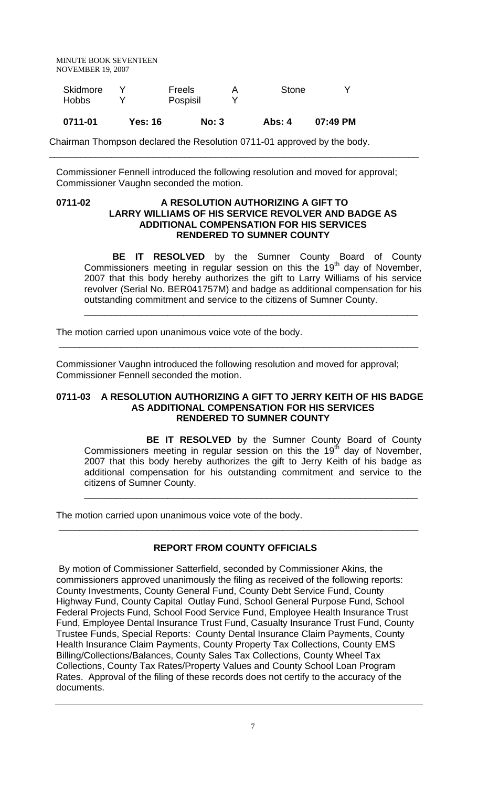| Skidmore  |     | Freels     | А | <b>Stone</b> |  |
|-----------|-----|------------|---|--------------|--|
| Hobbs     |     | Pospisil   |   |              |  |
| _ _ _ _ _ | - - | __<br>$ -$ |   | __           |  |

**0711-01 Yes: 16 No: 3 Abs: 4 07:49 PM**

Chairman Thompson declared the Resolution 0711-01 approved by the body.

Commissioner Fennell introduced the following resolution and moved for approval; Commissioner Vaughn seconded the motion.

\_\_\_\_\_\_\_\_\_\_\_\_\_\_\_\_\_\_\_\_\_\_\_\_\_\_\_\_\_\_\_\_\_\_\_\_\_\_\_\_\_\_\_\_\_\_\_\_\_\_\_\_\_\_\_\_\_\_\_\_\_\_\_\_\_\_\_\_\_\_\_

#### **0711-02 A RESOLUTION AUTHORIZING A GIFT TO LARRY WILLIAMS OF HIS SERVICE REVOLVER AND BADGE AS ADDITIONAL COMPENSATION FOR HIS SERVICES RENDERED TO SUMNER COUNTY**

**BE IT RESOLVED** by the Sumner County Board of County Commissioners meeting in regular session on this the 19<sup>th</sup> day of November, 2007 that this body hereby authorizes the gift to Larry Williams of his service revolver (Serial No. BER041757M) and badge as additional compensation for his outstanding commitment and service to the citizens of Sumner County.

\_\_\_\_\_\_\_\_\_\_\_\_\_\_\_\_\_\_\_\_\_\_\_\_\_\_\_\_\_\_\_\_\_\_\_\_\_\_\_\_\_\_\_\_\_\_\_\_\_\_\_\_\_\_\_\_\_\_\_\_\_\_\_\_

The motion carried upon unanimous voice vote of the body.

Commissioner Vaughn introduced the following resolution and moved for approval; Commissioner Fennell seconded the motion.

#### **0711-03 A RESOLUTION AUTHORIZING A GIFT TO JERRY KEITH OF HIS BADGE AS ADDITIONAL COMPENSATION FOR HIS SERVICES RENDERED TO SUMNER COUNTY**

\_\_\_\_\_\_\_\_\_\_\_\_\_\_\_\_\_\_\_\_\_\_\_\_\_\_\_\_\_\_\_\_\_\_\_\_\_\_\_\_\_\_\_\_\_\_\_\_\_\_\_\_\_\_\_\_\_\_\_\_\_\_\_\_\_\_\_\_\_

 **BE IT RESOLVED** by the Sumner County Board of County Commissioners meeting in regular session on this the  $19<sup>th</sup>$  day of November, 2007 that this body hereby authorizes the gift to Jerry Keith of his badge as additional compensation for his outstanding commitment and service to the citizens of Sumner County.

\_\_\_\_\_\_\_\_\_\_\_\_\_\_\_\_\_\_\_\_\_\_\_\_\_\_\_\_\_\_\_\_\_\_\_\_\_\_\_\_\_\_\_\_\_\_\_\_\_\_\_\_\_\_\_\_\_\_\_\_\_\_\_\_

The motion carried upon unanimous voice vote of the body.

# **REPORT FROM COUNTY OFFICIALS**

\_\_\_\_\_\_\_\_\_\_\_\_\_\_\_\_\_\_\_\_\_\_\_\_\_\_\_\_\_\_\_\_\_\_\_\_\_\_\_\_\_\_\_\_\_\_\_\_\_\_\_\_\_\_\_\_\_\_\_\_\_\_\_\_\_\_\_\_\_

 By motion of Commissioner Satterfield, seconded by Commissioner Akins, the commissioners approved unanimously the filing as received of the following reports: County Investments, County General Fund, County Debt Service Fund, County Highway Fund, County Capital Outlay Fund, School General Purpose Fund, School Federal Projects Fund, School Food Service Fund, Employee Health Insurance Trust Fund, Employee Dental Insurance Trust Fund, Casualty Insurance Trust Fund, County Trustee Funds, Special Reports: County Dental Insurance Claim Payments, County Health Insurance Claim Payments, County Property Tax Collections, County EMS Billing/Collections/Balances, County Sales Tax Collections, County Wheel Tax Collections, County Tax Rates/Property Values and County School Loan Program Rates. Approval of the filing of these records does not certify to the accuracy of the documents.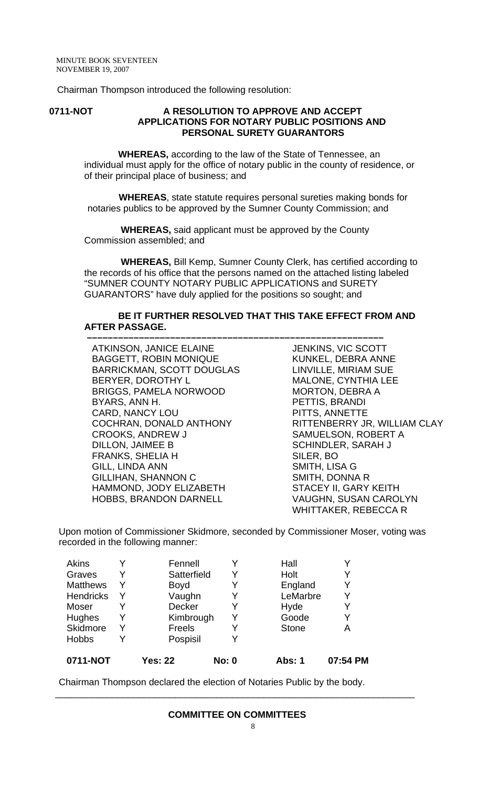Chairman Thompson introduced the following resolution:

#### **0711-NOT A RESOLUTION TO APPROVE AND ACCEPT APPLICATIONS FOR NOTARY PUBLIC POSITIONS AND PERSONAL SURETY GUARANTORS**

 **WHEREAS,** according to the law of the State of Tennessee, an individual must apply for the office of notary public in the county of residence, or of their principal place of business; and

 **WHEREAS**, state statute requires personal sureties making bonds for notaries publics to be approved by the Sumner County Commission; and

 **WHEREAS,** said applicant must be approved by the County Commission assembled; and

 **WHEREAS,** Bill Kemp, Sumner County Clerk, has certified according to the records of his office that the persons named on the attached listing labeled "SUMNER COUNTY NOTARY PUBLIC APPLICATIONS and SURETY GUARANTORS" have duly applied for the positions so sought; and

#### **BE IT FURTHER RESOLVED THAT THIS TAKE EFFECT FROM AND AFTER PASSAGE.**

ATKINSON, JANICE ELAINE BAGGETT, ROBIN MONIQUE BARRICKMAN, SCOTT DOUGLAS BERYER, DOROTHY L BRIGGS, PAMELA NORWOOD BYARS, ANN H. CARD, NANCY LOU COCHRAN, DONALD ANTHONY CROOKS, ANDREW J DILLON, JAIMEE B FRANKS, SHELIA H GILL, LINDA ANN GILLIHAN, SHANNON C HAMMOND, JODY ELIZABETH HOBBS, BRANDON DARNELL

 **–––––––––––––––––––––––––––––––––––––––––––––––––––––––––** JENKINS, VIC SCOTT KUNKEL, DEBRA ANNE LINVILLE, MIRIAM SUE MALONE, CYNTHIA LEE MORTON, DEBRA A PETTIS, BRANDI PITTS, ANNETTE RITTENBERRY JR, WILLIAM CLAY SAMUELSON, ROBERT A SCHINDLER, SARAH J SILER, BO SMITH, LISA G SMITH, DONNA R STACEY II, GARY KEITH VAUGHN, SUSAN CAROLYN WHITTAKER, REBECCA R

 Upon motion of Commissioner Skidmore, seconded by Commissioner Moser, voting was recorded in the following manner:

| <b>Akins</b>    |   | Fennell        |              | Hall         |          |
|-----------------|---|----------------|--------------|--------------|----------|
| Graves          |   | Satterfield    |              | Holt         |          |
| <b>Matthews</b> | Y | <b>Boyd</b>    |              | England      |          |
| Hendricks       | Y | Vaughn         | Y            | LeMarbre     |          |
| Moser           |   | <b>Decker</b>  | Y            | Hyde         |          |
| Hughes          | Y | Kimbrough      | Y            | Goode        |          |
| Skidmore        | Y | Freels         |              | <b>Stone</b> | Α        |
| <b>Hobbs</b>    |   | Pospisil       |              |              |          |
| 0711-NOT        |   | <b>Yes: 22</b> | <b>No: 0</b> | Abs: 1       | 07:54 PM |

Chairman Thompson declared the election of Notaries Public by the body.

\_\_\_\_\_\_\_\_\_\_\_\_\_\_\_\_\_\_\_\_\_\_\_\_\_\_\_\_\_\_\_\_\_\_\_\_\_\_\_\_\_\_\_\_\_\_\_\_\_\_\_\_\_\_\_\_\_\_\_\_\_\_\_\_\_\_\_\_\_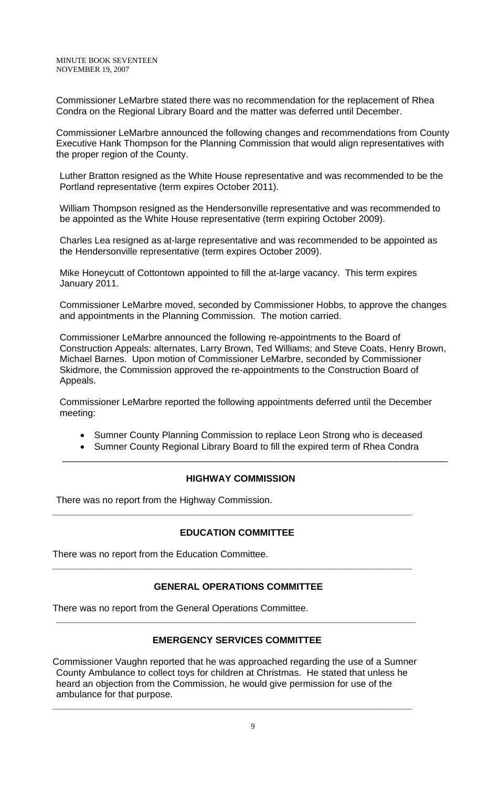Commissioner LeMarbre stated there was no recommendation for the replacement of Rhea Condra on the Regional Library Board and the matter was deferred until December.

Commissioner LeMarbre announced the following changes and recommendations from County Executive Hank Thompson for the Planning Commission that would align representatives with the proper region of the County.

Luther Bratton resigned as the White House representative and was recommended to be the Portland representative (term expires October 2011).

William Thompson resigned as the Hendersonville representative and was recommended to be appointed as the White House representative (term expiring October 2009).

Charles Lea resigned as at-large representative and was recommended to be appointed as the Hendersonville representative (term expires October 2009).

Mike Honeycutt of Cottontown appointed to fill the at-large vacancy. This term expires January 2011.

Commissioner LeMarbre moved, seconded by Commissioner Hobbs, to approve the changes and appointments in the Planning Commission. The motion carried.

Commissioner LeMarbre announced the following re-appointments to the Board of Construction Appeals: alternates, Larry Brown, Ted Williams; and Steve Coats, Henry Brown, Michael Barnes. Upon motion of Commissioner LeMarbre, seconded by Commissioner Skidmore, the Commission approved the re-appointments to the Construction Board of Appeals.

Commissioner LeMarbre reported the following appointments deferred until the December meeting:

- Sumner County Planning Commission to replace Leon Strong who is deceased
- Sumner County Regional Library Board to fill the expired term of Rhea Condra \_\_\_\_\_\_\_\_\_\_\_\_\_\_\_\_\_\_\_\_\_\_\_\_\_\_\_\_\_\_\_\_\_\_\_\_\_\_\_\_\_\_\_\_\_\_\_\_\_\_\_\_\_\_\_\_\_\_\_\_\_\_\_\_\_\_\_\_\_\_\_\_\_\_

#### **HIGHWAY COMMISSION**

There was no report from the Highway Commission.

# **EDUCATION COMMITTEE**

**\_\_\_\_\_\_\_\_\_\_\_\_\_\_\_\_\_\_\_\_\_\_\_\_\_\_\_\_\_\_\_\_\_\_\_\_\_\_\_\_\_\_\_\_\_\_\_\_\_\_\_\_\_\_\_\_\_\_\_\_\_\_\_\_\_\_\_\_\_** 

There was no report from the Education Committee.

# **GENERAL OPERATIONS COMMITTEE**

**\_\_\_\_\_\_\_\_\_\_\_\_\_\_\_\_\_\_\_\_\_\_\_\_\_\_\_\_\_\_\_\_\_\_\_\_\_\_\_\_\_\_\_\_\_\_\_\_\_\_\_\_\_\_\_\_\_\_\_\_\_\_\_\_\_\_\_\_\_** 

There was no report from the General Operations Committee.

# **EMERGENCY SERVICES COMMITTEE**

**\_\_\_\_\_\_\_\_\_\_\_\_\_\_\_\_\_\_\_\_\_\_\_\_\_\_\_\_\_\_\_\_\_\_\_\_\_\_\_\_\_\_\_\_\_\_\_\_\_\_\_\_\_\_\_\_\_\_\_\_\_\_\_\_\_\_\_\_\_** 

Commissioner Vaughn reported that he was approached regarding the use of a Sumner County Ambulance to collect toys for children at Christmas. He stated that unless he heard an objection from the Commission, he would give permission for use of the ambulance for that purpose.

**\_\_\_\_\_\_\_\_\_\_\_\_\_\_\_\_\_\_\_\_\_\_\_\_\_\_\_\_\_\_\_\_\_\_\_\_\_\_\_\_\_\_\_\_\_\_\_\_\_\_\_\_\_\_\_\_\_\_\_\_\_\_\_\_\_\_\_\_\_**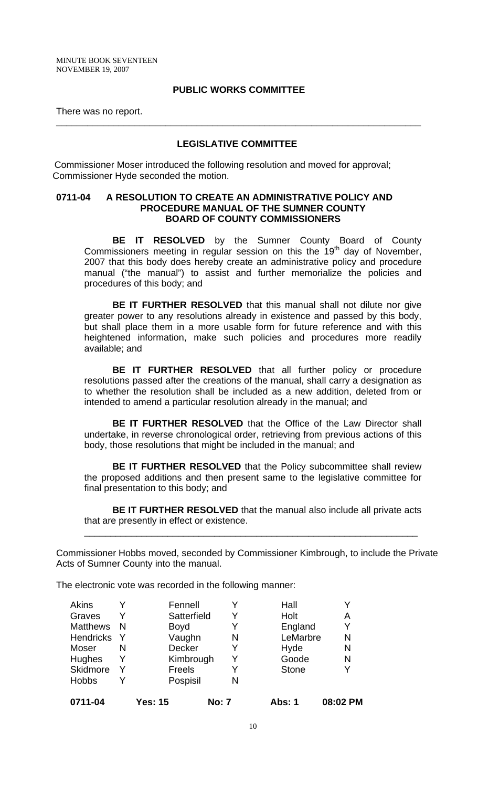#### **PUBLIC WORKS COMMITTEE**

There was no report.

#### **LEGISLATIVE COMMITTEE**

**\_\_\_\_\_\_\_\_\_\_\_\_\_\_\_\_\_\_\_\_\_\_\_\_\_\_\_\_\_\_\_\_\_\_\_\_\_\_\_\_\_\_\_\_\_\_\_\_\_\_\_\_\_\_\_\_\_\_\_\_\_\_\_\_\_\_\_\_\_\_** 

 Commissioner Moser introduced the following resolution and moved for approval; Commissioner Hyde seconded the motion.

#### **0711-04 A RESOLUTION TO CREATE AN ADMINISTRATIVE POLICY AND PROCEDURE MANUAL OF THE SUMNER COUNTY BOARD OF COUNTY COMMISSIONERS**

**BE IT RESOLVED** by the Sumner County Board of County Commissioners meeting in regular session on this the 19<sup>th</sup> day of November, 2007 that this body does hereby create an administrative policy and procedure manual ("the manual") to assist and further memorialize the policies and procedures of this body; and

**BE IT FURTHER RESOLVED** that this manual shall not dilute nor give greater power to any resolutions already in existence and passed by this body, but shall place them in a more usable form for future reference and with this heightened information, make such policies and procedures more readily available; and

**BE IT FURTHER RESOLVED** that all further policy or procedure resolutions passed after the creations of the manual, shall carry a designation as to whether the resolution shall be included as a new addition, deleted from or intended to amend a particular resolution already in the manual; and

**BE IT FURTHER RESOLVED** that the Office of the Law Director shall undertake, in reverse chronological order, retrieving from previous actions of this body, those resolutions that might be included in the manual; and

**BE IT FURTHER RESOLVED** that the Policy subcommittee shall review the proposed additions and then present same to the legislative committee for final presentation to this body; and

**BE IT FURTHER RESOLVED** that the manual also include all private acts that are presently in effect or existence.

\_\_\_\_\_\_\_\_\_\_\_\_\_\_\_\_\_\_\_\_\_\_\_\_\_\_\_\_\_\_\_\_\_\_\_\_\_\_\_\_\_\_\_\_\_\_\_\_\_\_\_\_\_\_\_\_\_\_\_\_\_\_\_\_

Commissioner Hobbs moved, seconded by Commissioner Kimbrough, to include the Private Acts of Sumner County into the manual.

The electronic vote was recorded in the following manner:

| <b>Akins</b><br>Graves |     |                | Fennell<br>Satterfield | v<br>Y       | Hall<br>Holt  | Α        |
|------------------------|-----|----------------|------------------------|--------------|---------------|----------|
| <b>Matthews</b>        | - N |                | <b>Boyd</b>            | Y            | England       | Y        |
| <b>Hendricks</b>       |     |                | Vaughn                 | N            | LeMarbre      | N        |
| Moser                  | N   |                | <b>Decker</b>          | Y            | Hyde          | N        |
| <b>Hughes</b>          | Y   |                | Kimbrough              | Y            | Goode         | N        |
| Skidmore               |     |                | Freels                 | Y            | <b>Stone</b>  |          |
| <b>Hobbs</b>           |     |                | Pospisil               | N            |               |          |
| 0711-04                |     | <b>Yes: 15</b> |                        | <b>No: 7</b> | <b>Abs: 1</b> | 08:02 PM |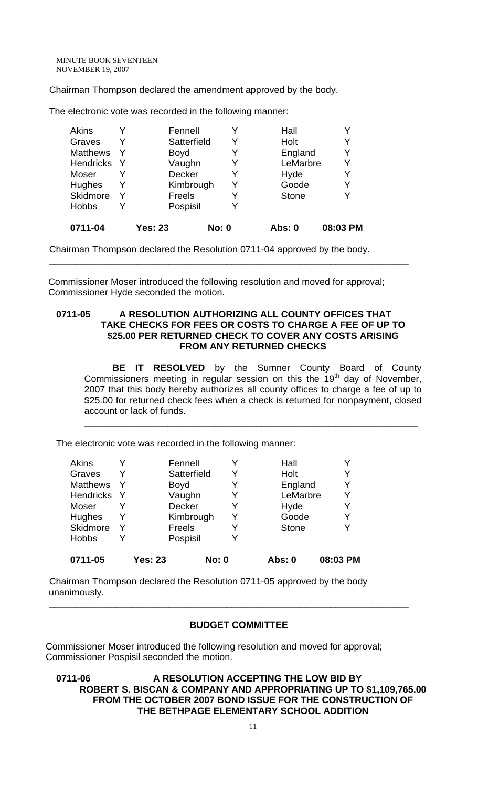Chairman Thompson declared the amendment approved by the body.

The electronic vote was recorded in the following manner:

| 0711-04          |   | <b>Yes: 23</b> | <b>No: 0</b> | <b>Abs: 0</b> | 08:03 PM |
|------------------|---|----------------|--------------|---------------|----------|
| <b>Hobbs</b>     | Y | Pospisil       | Y            |               |          |
| Skidmore         | Y | Freels         | Y            | <b>Stone</b>  |          |
| Hughes           | Y | Kimbrough      | Y            | Goode         | Y        |
| Moser            |   | <b>Decker</b>  | Y            | Hyde          |          |
| <b>Hendricks</b> | Y | Vaughn         | Y            | LeMarbre      |          |
| <b>Matthews</b>  | Y | <b>Boyd</b>    | Y            | England       |          |
| Graves           | Y | Satterfield    | Y            | Holt          |          |
| <b>Akins</b>     |   | Fennell        | Y            | Hall          |          |
|                  |   |                |              |               |          |

Chairman Thompson declared the Resolution 0711-04 approved by the body.

 Commissioner Moser introduced the following resolution and moved for approval; Commissioner Hyde seconded the motion.

#### **0711-05 A RESOLUTION AUTHORIZING ALL COUNTY OFFICES THAT TAKE CHECKS FOR FEES OR COSTS TO CHARGE A FEE OF UP TO \$25.00 PER RETURNED CHECK TO COVER ANY COSTS ARISING FROM ANY RETURNED CHECKS**

\_\_\_\_\_\_\_\_\_\_\_\_\_\_\_\_\_\_\_\_\_\_\_\_\_\_\_\_\_\_\_\_\_\_\_\_\_\_\_\_\_\_\_\_\_\_\_\_\_\_\_\_\_\_\_\_\_\_\_\_\_\_\_\_\_\_\_\_\_

**BE IT RESOLVED** by the Sumner County Board of County Commissioners meeting in regular session on this the  $19<sup>th</sup>$  day of November, 2007 that this body hereby authorizes all county offices to charge a fee of up to \$25.00 for returned check fees when a check is returned for nonpayment, closed account or lack of funds.

\_\_\_\_\_\_\_\_\_\_\_\_\_\_\_\_\_\_\_\_\_\_\_\_\_\_\_\_\_\_\_\_\_\_\_\_\_\_\_\_\_\_\_\_\_\_\_\_\_\_\_\_\_\_\_\_\_\_\_\_\_\_\_\_

The electronic vote was recorded in the following manner:

| Akins            |                | Fennell       |              |   | Hall         |          |          |
|------------------|----------------|---------------|--------------|---|--------------|----------|----------|
| Graves           |                | Satterfield   |              | Y | Holt         |          | Y        |
| <b>Matthews</b>  |                | <b>Boyd</b>   |              | Y |              | England  | Y        |
| <b>Hendricks</b> |                | Vaughn        |              | Y |              | LeMarbre | Y        |
| Moser            |                | <b>Decker</b> |              | Y | Hyde         |          | Y        |
| Hughes           |                | Kimbrough     |              | Y | Goode        |          | Y        |
| Skidmore         |                | <b>Freels</b> |              | Y | <b>Stone</b> |          |          |
| <b>Hobbs</b>     |                | Pospisil      |              | Y |              |          |          |
| 0711-05          | <b>Yes: 23</b> |               | <b>No: 0</b> |   | Abs: 0       |          | 08:03 PM |

Chairman Thompson declared the Resolution 0711-05 approved by the body unanimously.

#### **BUDGET COMMITTEE**

\_\_\_\_\_\_\_\_\_\_\_\_\_\_\_\_\_\_\_\_\_\_\_\_\_\_\_\_\_\_\_\_\_\_\_\_\_\_\_\_\_\_\_\_\_\_\_\_\_\_\_\_\_\_\_\_\_\_\_\_\_\_\_\_\_\_\_\_\_

Commissioner Moser introduced the following resolution and moved for approval; Commissioner Pospisil seconded the motion.

### **0711-06 A RESOLUTION ACCEPTING THE LOW BID BY ROBERT S. BISCAN & COMPANY AND APPROPRIATING UP TO \$1,109,765.00 FROM THE OCTOBER 2007 BOND ISSUE FOR THE CONSTRUCTION OF THE BETHPAGE ELEMENTARY SCHOOL ADDITION**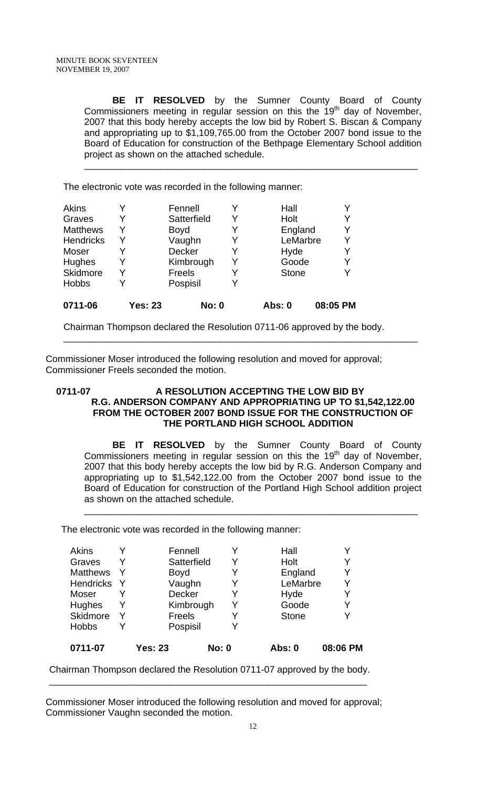**BE IT RESOLVED** by the Sumner County Board of County Commissioners meeting in regular session on this the 19<sup>th</sup> day of November, 2007 that this body hereby accepts the low bid by Robert S. Biscan & Company and appropriating up to \$1,109,765.00 from the October 2007 bond issue to the Board of Education for construction of the Bethpage Elementary School addition project as shown on the attached schedule.

\_\_\_\_\_\_\_\_\_\_\_\_\_\_\_\_\_\_\_\_\_\_\_\_\_\_\_\_\_\_\_\_\_\_\_\_\_\_\_\_\_\_\_\_\_\_\_\_\_\_\_\_\_\_\_\_\_\_\_\_\_\_\_\_

The electronic vote was recorded in the following manner:

| Akins            |                | Fennell       |   | Hall         |          |
|------------------|----------------|---------------|---|--------------|----------|
| Graves           | Y              | Satterfield   | Y | Holt         | Y        |
| <b>Matthews</b>  | Y              | <b>Boyd</b>   |   | England      |          |
| <b>Hendricks</b> | Y              | Vaughn        |   | LeMarbre     |          |
| Moser            |                | <b>Decker</b> |   | Hyde         | Y        |
| Hughes           | Y              | Kimbrough     | Y | Goode        |          |
| Skidmore         | Y              | Freels        |   | <b>Stone</b> |          |
| <b>Hobbs</b>     |                | Pospisil      |   |              |          |
| 0711-06          | <b>Yes: 23</b> | <b>No: 0</b>  |   | Abs: 0       | 08:05 PM |

Chairman Thompson declared the Resolution 0711-06 approved by the body.

Commissioner Moser introduced the following resolution and moved for approval; Commissioner Freels seconded the motion.

### 0711-07 A RESOLUTION ACCEPTING THE LOW BID BY **R.G. ANDERSON COMPANY AND APPROPRIATING UP TO \$1,542,122.00 FROM THE OCTOBER 2007 BOND ISSUE FOR THE CONSTRUCTION OF THE PORTLAND HIGH SCHOOL ADDITION**

\_\_\_\_\_\_\_\_\_\_\_\_\_\_\_\_\_\_\_\_\_\_\_\_\_\_\_\_\_\_\_\_\_\_\_\_\_\_\_\_\_\_\_\_\_\_\_\_\_\_\_\_\_\_\_\_\_\_\_\_\_\_\_\_\_\_\_\_

**BE IT RESOLVED** by the Sumner County Board of County Commissioners meeting in regular session on this the  $19<sup>th</sup>$  day of November, 2007 that this body hereby accepts the low bid by R.G. Anderson Company and appropriating up to \$1,542,122.00 from the October 2007 bond issue to the Board of Education for construction of the Portland High School addition project as shown on the attached schedule.

\_\_\_\_\_\_\_\_\_\_\_\_\_\_\_\_\_\_\_\_\_\_\_\_\_\_\_\_\_\_\_\_\_\_\_\_\_\_\_\_\_\_\_\_\_\_\_\_\_\_\_\_\_\_\_\_\_\_\_\_\_\_\_\_

The electronic vote was recorded in the following manner:

| 0711-07          | <b>Yes: 23</b> | <b>No: 0</b> | Abs: 0       | 08:06 PM |
|------------------|----------------|--------------|--------------|----------|
| <b>Hobbs</b>     | Pospisil       | Y            |              |          |
| Skidmore         | Freels         | Y            | <b>Stone</b> | Y        |
| <b>Hughes</b>    | Kimbrough      | Y            | Goode        | Y        |
| Moser            | <b>Decker</b>  | Y            | Hyde         |          |
| <b>Hendricks</b> | Vaughn         | Y            | LeMarbre     | Υ        |
| <b>Matthews</b>  | <b>Boyd</b>    | Y            | England      | Y        |
| Graves           | Satterfield    | Y            | Holt         | Y        |
| <b>Akins</b>     | Fennell        | Y            | Hall         |          |

Chairman Thompson declared the Resolution 0711-07 approved by the body. \_\_\_\_\_\_\_\_\_\_\_\_\_\_\_\_\_\_\_\_\_\_\_\_\_\_\_\_\_\_\_\_\_\_\_\_\_\_\_\_\_\_\_\_\_\_\_\_\_\_\_\_\_\_\_\_\_\_\_\_\_

Commissioner Moser introduced the following resolution and moved for approval; Commissioner Vaughn seconded the motion.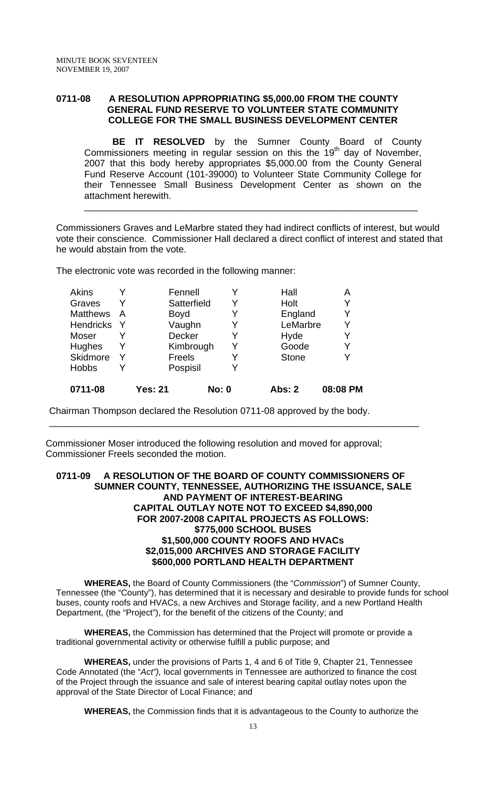# **0711-08 A RESOLUTION APPROPRIATING \$5,000.00 FROM THE COUNTY GENERAL FUND RESERVE TO VOLUNTEER STATE COMMUNITY COLLEGE FOR THE SMALL BUSINESS DEVELOPMENT CENTER**

**BE IT RESOLVED** by the Sumner County Board of County Commissioners meeting in regular session on this the 19th day of November, 2007 that this body hereby appropriates \$5,000.00 from the County General Fund Reserve Account (101-39000) to Volunteer State Community College for their Tennessee Small Business Development Center as shown on the attachment herewith.

Commissioners Graves and LeMarbre stated they had indirect conflicts of interest, but would vote their conscience. Commissioner Hall declared a direct conflict of interest and stated that he would abstain from the vote.

\_\_\_\_\_\_\_\_\_\_\_\_\_\_\_\_\_\_\_\_\_\_\_\_\_\_\_\_\_\_\_\_\_\_\_\_\_\_\_\_\_\_\_\_\_\_\_\_\_\_\_\_\_\_\_\_\_\_\_\_\_\_\_\_

The electronic vote was recorded in the following manner:

| <b>Akins</b>     |   | Fennell        |              |   | Hall         | Α        |
|------------------|---|----------------|--------------|---|--------------|----------|
| Graves           |   | Satterfield    |              | Y | Holt         | Y        |
| <b>Matthews</b>  | A | <b>Boyd</b>    |              |   | England      | Y        |
| <b>Hendricks</b> |   | Vaughn         |              |   | LeMarbre     | Y        |
| Moser            |   | Decker         |              | Y | Hyde         | Y        |
| Hughes           |   | Kimbrough      |              | Y | Goode        | Y        |
| Skidmore         |   | Freels         |              |   | <b>Stone</b> | γ        |
| <b>Hobbs</b>     |   | Pospisil       |              |   |              |          |
| 0711-08          |   | <b>Yes: 21</b> | <b>No: 0</b> |   | Abs: 2       | 08:08 PM |

Chairman Thompson declared the Resolution 0711-08 approved by the body.

Commissioner Moser introduced the following resolution and moved for approval; Commissioner Freels seconded the motion.

#### **0711-09 A RESOLUTION OF THE BOARD OF COUNTY COMMISSIONERS OF SUMNER COUNTY, TENNESSEE, AUTHORIZING THE ISSUANCE, SALE AND PAYMENT OF INTEREST-BEARING CAPITAL OUTLAY NOTE NOT TO EXCEED \$4,890,000 FOR 2007-2008 CAPITAL PROJECTS AS FOLLOWS: \$775,000 SCHOOL BUSES \$1,500,000 COUNTY ROOFS AND HVACs \$2,015,000 ARCHIVES AND STORAGE FACILITY \$600,000 PORTLAND HEALTH DEPARTMENT**

\_\_\_\_\_\_\_\_\_\_\_\_\_\_\_\_\_\_\_\_\_\_\_\_\_\_\_\_\_\_\_\_\_\_\_\_\_\_\_\_\_\_\_\_\_\_\_\_\_\_\_\_\_\_\_\_\_\_\_\_\_\_\_\_\_\_\_\_\_\_\_

**WHEREAS,** the Board of County Commissioners (the "*Commission*") of Sumner County, Tennessee (the "County"), has determined that it is necessary and desirable to provide funds for school buses, county roofs and HVACs, a new Archives and Storage facility, and a new Portland Health Department, (the "Project"), for the benefit of the citizens of the County; and

**WHEREAS,** the Commission has determined that the Project will promote or provide a traditional governmental activity or otherwise fulfill a public purpose; and

**WHEREAS,** under the provisions of Parts 1, 4 and 6 of Title 9, Chapter 21, Tennessee Code Annotated (the "*Act"),* local governments in Tennessee are authorized to finance the cost of the Project through the issuance and sale of interest bearing capital outlay notes upon the approval of the State Director of Local Finance; and

**WHEREAS,** the Commission finds that it is advantageous to the County to authorize the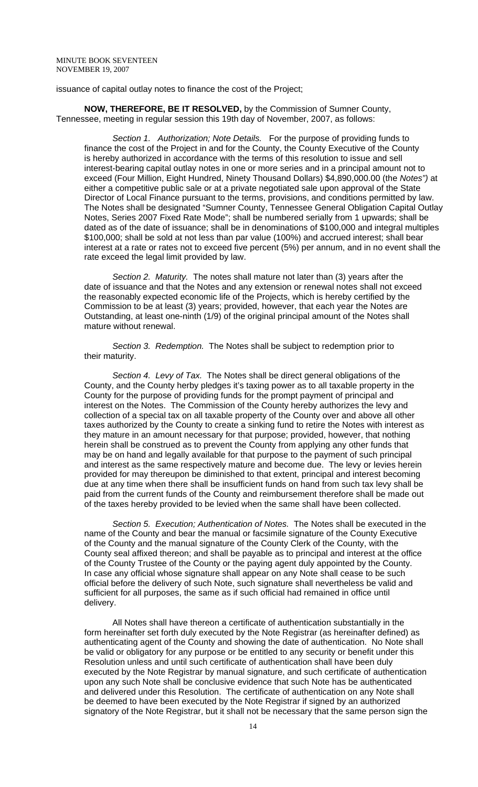issuance of capital outlay notes to finance the cost of the Project;

**NOW, THEREFORE, BE IT RESOLVED,** by the Commission of Sumner County, Tennessee, meeting in regular session this 19th day of November, 2007, as follows:

 *Section 1. Authorization; Note Details.* For the purpose of providing funds to finance the cost of the Project in and for the County, the County Executive of the County is hereby authorized in accordance with the terms of this resolution to issue and sell interest-bearing capital outlay notes in one or more series and in a principal amount not to exceed (Four Million, Eight Hundred, Ninety Thousand Dollars) \$4,890,000.00 (the *Notes")* at either a competitive public sale or at a private negotiated sale upon approval of the State Director of Local Finance pursuant to the terms, provisions, and conditions permitted by law. The Notes shall be designated "Sumner County, Tennessee General Obligation Capital Outlay Notes, Series 2007 Fixed Rate Mode"; shall be numbered serially from 1 upwards; shall be dated as of the date of issuance; shall be in denominations of \$100,000 and integral multiples \$100,000; shall be sold at not less than par value (100%) and accrued interest; shall bear interest at a rate or rates not to exceed five percent (5%) per annum, and in no event shall the rate exceed the legal limit provided by law.

 *Section 2. Maturity.* The notes shall mature not later than (3) years after the date of issuance and that the Notes and any extension or renewal notes shall not exceed the reasonably expected economic life of the Projects, which is hereby certified by the Commission to be at least (3) years; provided, however, that each year the Notes are Outstanding, at least one-ninth (1/9) of the original principal amount of the Notes shall mature without renewal.

 *Section 3. Redemption.* The Notes shall be subject to redemption prior to their maturity.

 *Section 4. Levy of Tax.* The Notes shall be direct general obligations of the County, and the County herby pledges it's taxing power as to all taxable property in the County for the purpose of providing funds for the prompt payment of principal and interest on the Notes. The Commission of the County hereby authorizes the levy and collection of a special tax on all taxable property of the County over and above all other taxes authorized by the County to create a sinking fund to retire the Notes with interest as they mature in an amount necessary for that purpose; provided, however, that nothing herein shall be construed as to prevent the County from applying any other funds that may be on hand and legally available for that purpose to the payment of such principal and interest as the same respectively mature and become due. The levy or levies herein provided for may thereupon be diminished to that extent, principal and interest becoming due at any time when there shall be insufficient funds on hand from such tax levy shall be paid from the current funds of the County and reimbursement therefore shall be made out of the taxes hereby provided to be levied when the same shall have been collected.

 *Section 5. Execution; Authentication of Notes.* The Notes shall be executed in the name of the County and bear the manual or facsimile signature of the County Executive of the County and the manual signature of the County Clerk of the County, with the County seal affixed thereon; and shall be payable as to principal and interest at the office of the County Trustee of the County or the paying agent duly appointed by the County. In case any official whose signature shall appear on any Note shall cease to be such official before the delivery of such Note, such signature shall nevertheless be valid and sufficient for all purposes, the same as if such official had remained in office until delivery.

 All Notes shall have thereon a certificate of authentication substantially in the form hereinafter set forth duly executed by the Note Registrar (as hereinafter defined) as authenticating agent of the County and showing the date of authentication. No Note shall be valid or obligatory for any purpose or be entitled to any security or benefit under this Resolution unless and until such certificate of authentication shall have been duly executed by the Note Registrar by manual signature, and such certificate of authentication upon any such Note shall be conclusive evidence that such Note has be authenticated and delivered under this Resolution. The certificate of authentication on any Note shall be deemed to have been executed by the Note Registrar if signed by an authorized signatory of the Note Registrar, but it shall not be necessary that the same person sign the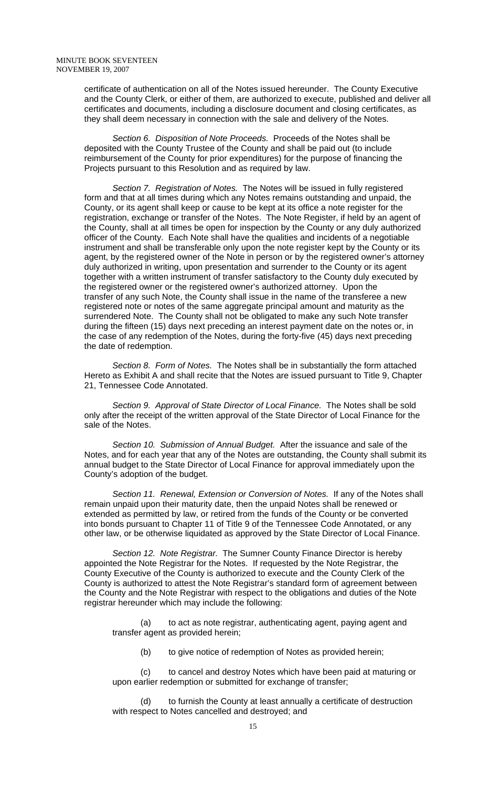certificate of authentication on all of the Notes issued hereunder. The County Executive and the County Clerk, or either of them, are authorized to execute, published and deliver all certificates and documents, including a disclosure document and closing certificates, as they shall deem necessary in connection with the sale and delivery of the Notes.

 *Section 6. Disposition of Note Proceeds.* Proceeds of the Notes shall be deposited with the County Trustee of the County and shall be paid out (to include reimbursement of the County for prior expenditures) for the purpose of financing the Projects pursuant to this Resolution and as required by law.

 *Section 7. Registration of Notes.* The Notes will be issued in fully registered form and that at all times during which any Notes remains outstanding and unpaid, the County, or its agent shall keep or cause to be kept at its office a note register for the registration, exchange or transfer of the Notes. The Note Register, if held by an agent of the County, shall at all times be open for inspection by the County or any duly authorized officer of the County. Each Note shall have the qualities and incidents of a negotiable instrument and shall be transferable only upon the note register kept by the County or its agent, by the registered owner of the Note in person or by the registered owner's attorney duly authorized in writing, upon presentation and surrender to the County or its agent together with a written instrument of transfer satisfactory to the County duly executed by the registered owner or the registered owner's authorized attorney. Upon the transfer of any such Note, the County shall issue in the name of the transferee a new registered note or notes of the same aggregate principal amount and maturity as the surrendered Note. The County shall not be obligated to make any such Note transfer during the fifteen (15) days next preceding an interest payment date on the notes or, in the case of any redemption of the Notes, during the forty-five (45) days next preceding the date of redemption.

 *Section 8. Form of Notes.* The Notes shall be in substantially the form attached Hereto as Exhibit A and shall recite that the Notes are issued pursuant to Title 9, Chapter 21, Tennessee Code Annotated.

 *Section 9. Approval of State Director of Local Finance.* The Notes shall be sold only after the receipt of the written approval of the State Director of Local Finance for the sale of the Notes.

 *Section 10. Submission of Annual Budget.* After the issuance and sale of the Notes, and for each year that any of the Notes are outstanding, the County shall submit its annual budget to the State Director of Local Finance for approval immediately upon the County's adoption of the budget.

 *Section 11. Renewal, Extension or Conversion of Notes.* If any of the Notes shall remain unpaid upon their maturity date, then the unpaid Notes shall be renewed or extended as permitted by law, or retired from the funds of the County or be converted into bonds pursuant to Chapter 11 of Title 9 of the Tennessee Code Annotated, or any other law, or be otherwise liquidated as approved by the State Director of Local Finance.

 *Section 12. Note Registrar.* The Sumner County Finance Director is hereby appointed the Note Registrar for the Notes. If requested by the Note Registrar, the County Executive of the County is authorized to execute and the County Clerk of the County is authorized to attest the Note Registrar's standard form of agreement between the County and the Note Registrar with respect to the obligations and duties of the Note registrar hereunder which may include the following:

(a) to act as note registrar, authenticating agent, paying agent and transfer agent as provided herein;

(b) to give notice of redemption of Notes as provided herein;

(c) to cancel and destroy Notes which have been paid at maturing or upon earlier redemption or submitted for exchange of transfer;

(d) to furnish the County at least annually a certificate of destruction with respect to Notes cancelled and destroyed; and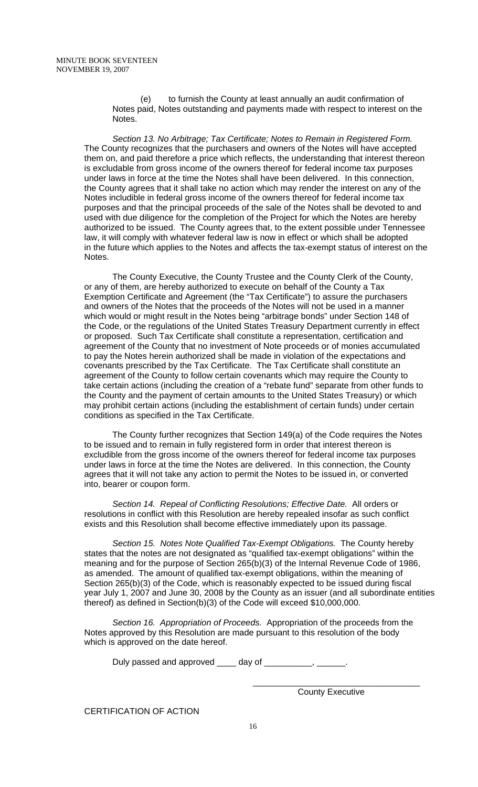(e) to furnish the County at least annually an audit confirmation of Notes paid, Notes outstanding and payments made with respect to interest on the Notes.

 *Section 13. No Arbitrage; Tax Certificate; Notes to Remain in Registered Form.*  The County recognizes that the purchasers and owners of the Notes will have accepted them on, and paid therefore a price which reflects, the understanding that interest thereon is excludable from gross income of the owners thereof for federal income tax purposes under laws in force at the time the Notes shall have been delivered. In this connection, the County agrees that it shall take no action which may render the interest on any of the Notes includible in federal gross income of the owners thereof for federal income tax purposes and that the principal proceeds of the sale of the Notes shall be devoted to and used with due diligence for the completion of the Project for which the Notes are hereby authorized to be issued. The County agrees that, to the extent possible under Tennessee law, it will comply with whatever federal law is now in effect or which shall be adopted in the future which applies to the Notes and affects the tax-exempt status of interest on the Notes.

 The County Executive, the County Trustee and the County Clerk of the County, or any of them, are hereby authorized to execute on behalf of the County a Tax Exemption Certificate and Agreement (the "Tax Certificate") to assure the purchasers and owners of the Notes that the proceeds of the Notes will not be used in a manner which would or might result in the Notes being "arbitrage bonds" under Section 148 of the Code, or the regulations of the United States Treasury Department currently in effect or proposed. Such Tax Certificate shall constitute a representation, certification and agreement of the County that no investment of Note proceeds or of monies accumulated to pay the Notes herein authorized shall be made in violation of the expectations and covenants prescribed by the Tax Certificate. The Tax Certificate shall constitute an agreement of the County to follow certain covenants which may require the County to take certain actions (including the creation of a "rebate fund" separate from other funds to the County and the payment of certain amounts to the United States Treasury) or which may prohibit certain actions (including the establishment of certain funds) under certain conditions as specified in the Tax Certificate.

 The County further recognizes that Section 149(a) of the Code requires the Notes to be issued and to remain in fully registered form in order that interest thereon is excludible from the gross income of the owners thereof for federal income tax purposes under laws in force at the time the Notes are delivered. In this connection, the County agrees that it will not take any action to permit the Notes to be issued in, or converted into, bearer or coupon form.

 *Section 14. Repeal of Conflicting Resolutions; Effective Date.* All orders or resolutions in conflict with this Resolution are hereby repealed insofar as such conflict exists and this Resolution shall become effective immediately upon its passage.

 *Section 15. Notes Note Qualified Tax-Exempt Obligations.* The County hereby states that the notes are not designated as "qualified tax-exempt obligations" within the meaning and for the purpose of Section 265(b)(3) of the Internal Revenue Code of 1986, as amended. The amount of qualified tax-exempt obligations, within the meaning of Section 265(b)(3) of the Code, which is reasonably expected to be issued during fiscal year July 1, 2007 and June 30, 2008 by the County as an issuer (and all subordinate entities thereof) as defined in Section(b)(3) of the Code will exceed \$10,000,000.

 *Section 16. Appropriation of Proceeds.* Appropriation of the proceeds from the Notes approved by this Resolution are made pursuant to this resolution of the body which is approved on the date hereof.

Duly passed and approved \_\_\_\_ day of \_\_\_\_\_\_\_\_\_, \_\_\_\_\_\_.

 $\overline{\phantom{a}}$  , which is a set of the set of the set of the set of the set of the set of the set of the set of the set of the set of the set of the set of the set of the set of the set of the set of the set of the set of th **County Executive** 

CERTIFICATION OF ACTION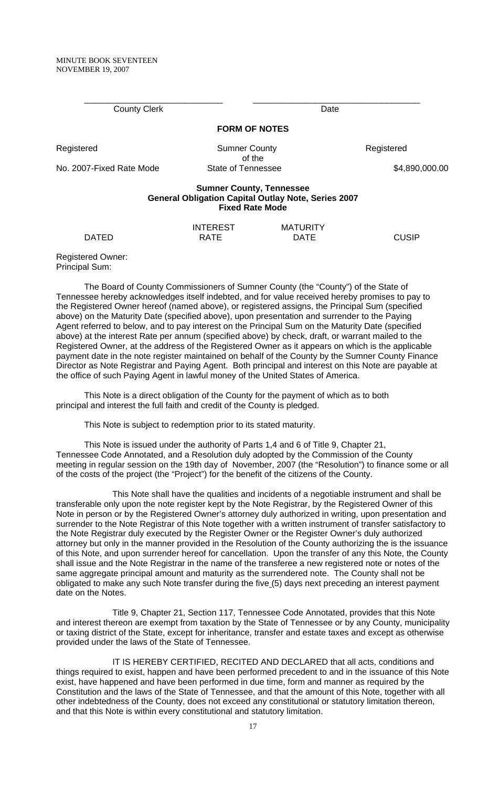County Clerk **Date FORM OF NOTES**  Registered **Sumner County** Registered Registered of the No. 2007-Fixed Rate Mode State of Tennessee \$4,890,000.00

\_\_\_\_\_\_\_\_\_\_\_\_\_\_\_\_\_\_\_\_\_\_\_\_\_\_\_\_\_ \_\_\_\_\_\_\_\_\_\_\_\_\_\_\_\_\_\_\_\_\_\_\_\_\_\_\_\_\_\_\_\_\_\_\_

#### **Sumner County, Tennessee General Obligation Capital Outlay Note, Series 2007 Fixed Rate Mode**

INTEREST MATURITY DATED RATE DATE DATE CUSIP

Registered Owner: Principal Sum:

 The Board of County Commissioners of Sumner County (the "County") of the State of Tennessee hereby acknowledges itself indebted, and for value received hereby promises to pay to the Registered Owner hereof (named above), or registered assigns, the Principal Sum (specified above) on the Maturity Date (specified above), upon presentation and surrender to the Paying Agent referred to below, and to pay interest on the Principal Sum on the Maturity Date (specified above) at the interest Rate per annum (specified above) by check, draft, or warrant mailed to the Registered Owner, at the address of the Registered Owner as it appears on which is the applicable payment date in the note register maintained on behalf of the County by the Sumner County Finance Director as Note Registrar and Paying Agent. Both principal and interest on this Note are payable at the office of such Paying Agent in lawful money of the United States of America.

 This Note is a direct obligation of the County for the payment of which as to both principal and interest the full faith and credit of the County is pledged.

This Note is subject to redemption prior to its stated maturity.

 This Note is issued under the authority of Parts 1,4 and 6 of Title 9, Chapter 21, Tennessee Code Annotated, and a Resolution duly adopted by the Commission of the County meeting in regular session on the 19th day of November, 2007 (the "Resolution") to finance some or all of the costs of the project (the "Project") for the benefit of the citizens of the County.

This Note shall have the qualities and incidents of a negotiable instrument and shall be transferable only upon the note register kept by the Note Registrar, by the Registered Owner of this Note in person or by the Registered Owner's attorney duly authorized in writing, upon presentation and surrender to the Note Registrar of this Note together with a written instrument of transfer satisfactory to the Note Registrar duly executed by the Register Owner or the Register Owner's duly authorized attorney but only in the manner provided in the Resolution of the County authorizing the is the issuance of this Note, and upon surrender hereof for cancellation. Upon the transfer of any this Note, the County shall issue and the Note Registrar in the name of the transferee a new registered note or notes of the same aggregate principal amount and maturity as the surrendered note. The County shall not be obligated to make any such Note transfer during the five (5) days next preceding an interest payment date on the Notes.

Title 9, Chapter 21, Section 117, Tennessee Code Annotated, provides that this Note and interest thereon are exempt from taxation by the State of Tennessee or by any County, municipality or taxing district of the State, except for inheritance, transfer and estate taxes and except as otherwise provided under the laws of the State of Tennessee.

IT IS HEREBY CERTIFIED, RECITED AND DECLARED that all acts, conditions and things required to exist, happen and have been performed precedent to and in the issuance of this Note exist, have happened and have been performed in due time, form and manner as required by the Constitution and the laws of the State of Tennessee, and that the amount of this Note, together with all other indebtedness of the County, does not exceed any constitutional or statutory limitation thereon, and that this Note is within every constitutional and statutory limitation.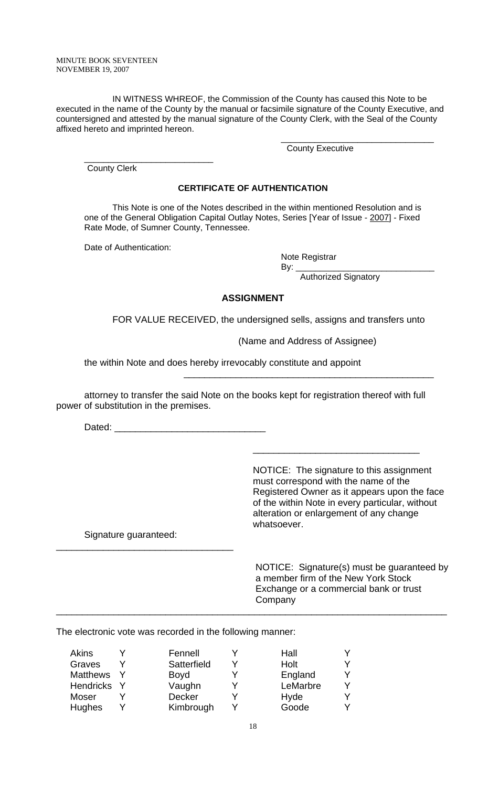IN WITNESS WHREOF, the Commission of the County has caused this Note to be executed in the name of the County by the manual or facsimile signature of the County Executive, and countersigned and attested by the manual signature of the County Clerk, with the Seal of the County affixed hereto and imprinted hereon.

 $\overline{\phantom{a}}$  , and the contract of the contract of the contract of the contract of the contract of the contract of the contract of the contract of the contract of the contract of the contract of the contract of the contrac

County Executive

\_\_\_\_\_\_\_\_\_\_\_\_\_\_\_\_\_\_\_\_\_\_\_\_\_\_\_ County Clerk

#### **CERTIFICATE OF AUTHENTICATION**

This Note is one of the Notes described in the within mentioned Resolution and is one of the General Obligation Capital Outlay Notes, Series [Year of Issue - 2007] - Fixed Rate Mode, of Sumner County, Tennessee.

Date of Authentication:

Note Registrar

By: \_\_\_\_\_\_\_\_\_\_\_\_\_\_\_\_\_\_\_\_\_\_\_\_\_\_\_\_\_

Authorized Signatory

#### **ASSIGNMENT**

FOR VALUE RECEIVED, the undersigned sells, assigns and transfers unto

(Name and Address of Assignee)

the within Note and does hereby irrevocably constitute and appoint

 attorney to transfer the said Note on the books kept for registration thereof with full power of substitution in the premises.

 $\overline{\phantom{a}}$  , and the contract of the contract of the contract of the contract of the contract of the contract of the contract of the contract of the contract of the contract of the contract of the contract of the contrac

 $\overline{\phantom{a}}$  ,  $\overline{\phantom{a}}$  ,  $\overline{\phantom{a}}$  ,  $\overline{\phantom{a}}$  ,  $\overline{\phantom{a}}$  ,  $\overline{\phantom{a}}$  ,  $\overline{\phantom{a}}$  ,  $\overline{\phantom{a}}$  ,  $\overline{\phantom{a}}$  ,  $\overline{\phantom{a}}$  ,  $\overline{\phantom{a}}$  ,  $\overline{\phantom{a}}$  ,  $\overline{\phantom{a}}$  ,  $\overline{\phantom{a}}$  ,  $\overline{\phantom{a}}$  ,  $\overline{\phantom{a}}$ 

Dated:

 NOTICE: The signature to this assignment must correspond with the name of the Registered Owner as it appears upon the face of the within Note in every particular, without alteration or enlargement of any change whatsoever.

Signature guaranteed:

\_\_\_\_\_\_\_\_\_\_\_\_\_\_\_\_\_\_\_\_\_\_\_\_\_\_\_\_\_\_\_\_\_\_

 NOTICE: Signature(s) must be guaranteed by a member firm of the New York Stock Exchange or a commercial bank or trust Company

The electronic vote was recorded in the following manner:

| <b>Akins</b>     | Fennell       | Hall     |  |
|------------------|---------------|----------|--|
| Graves           | Satterfield   | Holt     |  |
| <b>Matthews</b>  | Boyd          | England  |  |
| <b>Hendricks</b> | Vaughn        | LeMarbre |  |
| Moser            | <b>Decker</b> | Hyde     |  |
| <b>Hughes</b>    | Kimbrough     | Goode    |  |

\_\_\_\_\_\_\_\_\_\_\_\_\_\_\_\_\_\_\_\_\_\_\_\_\_\_\_\_\_\_\_\_\_\_\_\_\_\_\_\_\_\_\_\_\_\_\_\_\_\_\_\_\_\_\_\_\_\_\_\_\_\_\_\_\_\_\_\_\_\_\_\_\_\_\_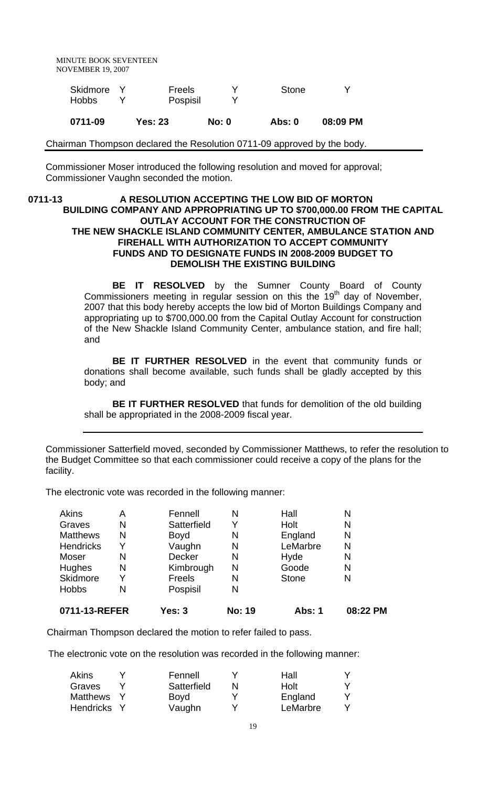| Skidmore Y | Freels   | <b>Stone</b> |  |
|------------|----------|--------------|--|
| Hobbs      | Pospisil |              |  |

**0711-09 Yes: 23 No: 0 Abs: 0 08:09 PM**

Chairman Thompson declared the Resolution 0711-09 approved by the body.

Commissioner Moser introduced the following resolution and moved for approval; Commissioner Vaughn seconded the motion.

### 0711-13 A RESOLUTION ACCEPTING THE LOW BID OF MORTON **BUILDING COMPANY AND APPROPRIATING UP TO \$700,000.00 FROM THE CAPITAL OUTLAY ACCOUNT FOR THE CONSTRUCTION OF THE NEW SHACKLE ISLAND COMMUNITY CENTER, AMBULANCE STATION AND FIREHALL WITH AUTHORIZATION TO ACCEPT COMMUNITY FUNDS AND TO DESIGNATE FUNDS IN 2008-2009 BUDGET TO DEMOLISH THE EXISTING BUILDING**

**BE IT RESOLVED** by the Sumner County Board of County Commissioners meeting in regular session on this the  $19<sup>th</sup>$  day of November, 2007 that this body hereby accepts the low bid of Morton Buildings Company and appropriating up to \$700,000.00 from the Capital Outlay Account for construction of the New Shackle Island Community Center, ambulance station, and fire hall; and

**BE IT FURTHER RESOLVED** in the event that community funds or donations shall become available, such funds shall be gladly accepted by this body; and

**BE IT FURTHER RESOLVED** that funds for demolition of the old building shall be appropriated in the 2008-2009 fiscal year.

Commissioner Satterfield moved, seconded by Commissioner Matthews, to refer the resolution to the Budget Committee so that each commissioner could receive a copy of the plans for the facility.

The electronic vote was recorded in the following manner:

| 0711-13-REFER   |   | Yes: 3        | <b>No: 19</b> | <b>Abs: 1</b> | 08:22 PM |
|-----------------|---|---------------|---------------|---------------|----------|
| <b>Hobbs</b>    | N | Pospisil      | N             |               |          |
| Skidmore        | Y | Freels        | N             | <b>Stone</b>  | N        |
| Hughes          | Ν | Kimbrough     | N             | Goode         | N        |
| Moser           | N | <b>Decker</b> | N             | Hyde          | N        |
| Hendricks       | Y | Vaughn        | N             | LeMarbre      | N        |
| <b>Matthews</b> | Ν | <b>Boyd</b>   | N             | England       | N        |
| Graves          | N | Satterfield   | Y             | Holt          | N        |
| Akins           | А | Fennell       | N             | Hall          | Ν        |

Chairman Thompson declared the motion to refer failed to pass.

The electronic vote on the resolution was recorded in the following manner:

| Akins           | Fennell     |   | Hall     |  |
|-----------------|-------------|---|----------|--|
| Graves          | Satterfield | N | Holt     |  |
| <b>Matthews</b> | <b>Boyd</b> |   | England  |  |
| Hendricks       | Vaughn      |   | LeMarbre |  |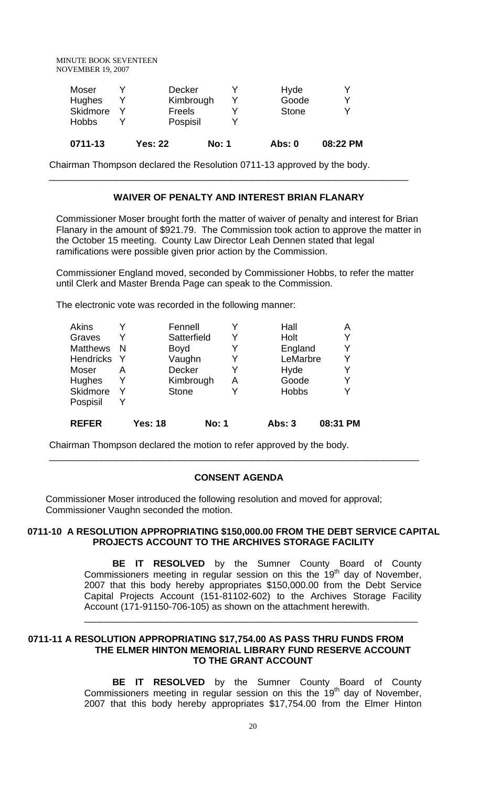| 0711-13      | <b>Yes: 22</b> | <b>No: 1</b> | Abs: 0       | 08:22 PM |
|--------------|----------------|--------------|--------------|----------|
| <b>Hobbs</b> | Pospisil       |              |              |          |
| Skidmore     | Freels         |              | <b>Stone</b> |          |
| Hughes       |                | Kimbrough    | Goode        | v        |
| Moser        | <b>Decker</b>  |              | Hyde         |          |

Chairman Thompson declared the Resolution 0711-13 approved by the body.

# **WAIVER OF PENALTY AND INTEREST BRIAN FLANARY**

\_\_\_\_\_\_\_\_\_\_\_\_\_\_\_\_\_\_\_\_\_\_\_\_\_\_\_\_\_\_\_\_\_\_\_\_\_\_\_\_\_\_\_\_\_\_\_\_\_\_\_\_\_\_\_\_\_\_\_\_\_\_\_\_\_\_\_\_\_

Commissioner Moser brought forth the matter of waiver of penalty and interest for Brian Flanary in the amount of \$921.79. The Commission took action to approve the matter in the October 15 meeting. County Law Director Leah Dennen stated that legal ramifications were possible given prior action by the Commission.

Commissioner England moved, seconded by Commissioner Hobbs, to refer the matter until Clerk and Master Brenda Page can speak to the Commission.

The electronic vote was recorded in the following manner:

| Akins            |   |                | Fennell      |              |   | Hall          | Α        |
|------------------|---|----------------|--------------|--------------|---|---------------|----------|
| Graves           |   |                | Satterfield  |              | Y | Holt          | Y        |
| <b>Matthews</b>  | N |                | <b>Boyd</b>  |              | Y | England       | Y        |
| <b>Hendricks</b> |   |                | Vaughn       |              |   | LeMarbre      | Y        |
| Moser            | A |                | Decker       |              | Y | Hyde          | Y        |
| <b>Hughes</b>    |   |                | Kimbrough    |              | Α | Goode         | Y        |
| Skidmore         |   |                | <b>Stone</b> |              |   | <b>Hobbs</b>  | v        |
| Pospisil         |   |                |              |              |   |               |          |
| <b>REFER</b>     |   | <b>Yes: 18</b> |              | <b>No: 1</b> |   | <b>Abs: 3</b> | 08:31 PM |

Chairman Thompson declared the motion to refer approved by the body.

#### **CONSENT AGENDA**

\_\_\_\_\_\_\_\_\_\_\_\_\_\_\_\_\_\_\_\_\_\_\_\_\_\_\_\_\_\_\_\_\_\_\_\_\_\_\_\_\_\_\_\_\_\_\_\_\_\_\_\_\_\_\_\_\_\_\_\_\_\_\_\_\_\_\_\_\_\_\_

Commissioner Moser introduced the following resolution and moved for approval; Commissioner Vaughn seconded the motion.

### **0711-10 A RESOLUTION APPROPRIATING \$150,000.00 FROM THE DEBT SERVICE CAPITAL PROJECTS ACCOUNT TO THE ARCHIVES STORAGE FACILITY**

**BE IT RESOLVED** by the Sumner County Board of County Commissioners meeting in regular session on this the 19th day of November, 2007 that this body hereby appropriates \$150,000.00 from the Debt Service Capital Projects Account (151-81102-602) to the Archives Storage Facility Account (171-91150-706-105) as shown on the attachment herewith.

\_\_\_\_\_\_\_\_\_\_\_\_\_\_\_\_\_\_\_\_\_\_\_\_\_\_\_\_\_\_\_\_\_\_\_\_\_\_\_\_\_\_\_\_\_\_\_\_\_\_\_\_\_\_\_\_\_\_\_\_\_\_\_\_

#### **0711-11 A RESOLUTION APPROPRIATING \$17,754.00 AS PASS THRU FUNDS FROM THE ELMER HINTON MEMORIAL LIBRARY FUND RESERVE ACCOUNT TO THE GRANT ACCOUNT**

**BE IT RESOLVED** by the Sumner County Board of County Commissioners meeting in regular session on this the 19<sup>th</sup> day of November, 2007 that this body hereby appropriates \$17,754.00 from the Elmer Hinton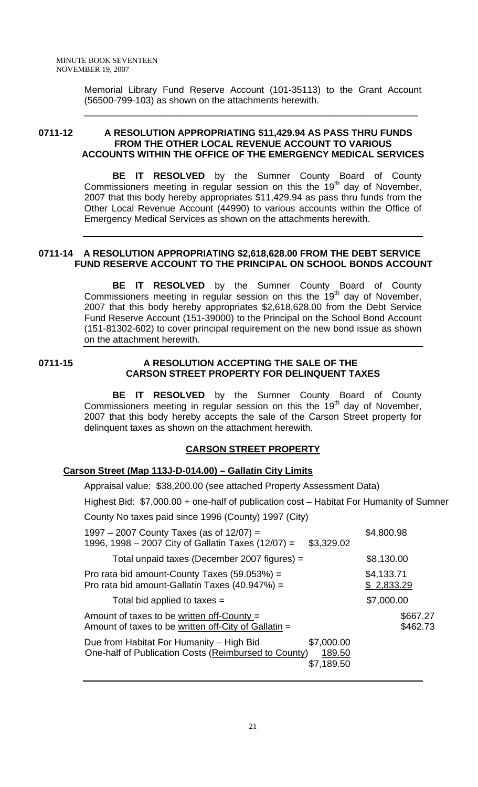Memorial Library Fund Reserve Account (101-35113) to the Grant Account (56500-799-103) as shown on the attachments herewith.

\_\_\_\_\_\_\_\_\_\_\_\_\_\_\_\_\_\_\_\_\_\_\_\_\_\_\_\_\_\_\_\_\_\_\_\_\_\_\_\_\_\_\_\_\_\_\_\_\_\_\_\_\_\_\_\_\_\_\_\_\_\_\_\_

# **0711-12 A RESOLUTION APPROPRIATING \$11,429.94 AS PASS THRU FUNDS FROM THE OTHER LOCAL REVENUE ACCOUNT TO VARIOUS ACCOUNTS WITHIN THE OFFICE OF THE EMERGENCY MEDICAL SERVICES**

**BE IT RESOLVED** by the Sumner County Board of County Commissioners meeting in regular session on this the  $19<sup>th</sup>$  day of November, 2007 that this body hereby appropriates \$11,429.94 as pass thru funds from the Other Local Revenue Account (44990) to various accounts within the Office of Emergency Medical Services as shown on the attachments herewith.

# **0711-14 A RESOLUTION APPROPRIATING \$2,618,628.00 FROM THE DEBT SERVICE FUND RESERVE ACCOUNT TO THE PRINCIPAL ON SCHOOL BONDS ACCOUNT**

**BE IT RESOLVED** by the Sumner County Board of County Commissioners meeting in regular session on this the  $19<sup>th</sup>$  day of November, 2007 that this body hereby appropriates \$2,618,628.00 from the Debt Service Fund Reserve Account (151-39000) to the Principal on the School Bond Account (151-81302-602) to cover principal requirement on the new bond issue as shown on the attachment herewith.

### 0711-15 A RESOLUTION ACCEPTING THE SALE OF THE **CARSON STREET PROPERTY FOR DELINQUENT TAXES**

**BE IT RESOLVED** by the Sumner County Board of County Commissioners meeting in regular session on this the  $19<sup>th</sup>$  day of November, 2007 that this body hereby accepts the sale of the Carson Street property for delinquent taxes as shown on the attachment herewith.

# **CARSON STREET PROPERTY**

# **Carson Street (Map 113J-D-014.00) – Gallatin City Limits**

 Appraisal value: \$38,200.00 (see attached Property Assessment Data) Highest Bid: \$7,000.00 + one-half of publication cost – Habitat For Humanity of Sumner County No taxes paid since 1996 (County) 1997 (City) 1997 – 2007 County Taxes (as of  $12/07$ ) = \$4,800.98 1996, 1998 – 2007 City of Gallatin Taxes (12/07) = \$3,329.02 Total unpaid taxes (December 2007 figures) =  $$8,130.00$ Pro rata bid amount-County Taxes  $(59.053%) =$ \$4,133.71 Pro rata bid amount-Gallatin Taxes  $(40.947%) =$  \$ 2,833.29 Total bid applied to taxes  $=$   $$7,000.00$ Amount of taxes to be written of f-County  $=$  \$667.27 Amount of taxes to be written off-City of Gallatin  $=$  \$462.73 Due from Habitat For Humanity – High Bid \$7,000.00 One-half of Publication Costs (Reimbursed to County) 189.50 \$7,189.50